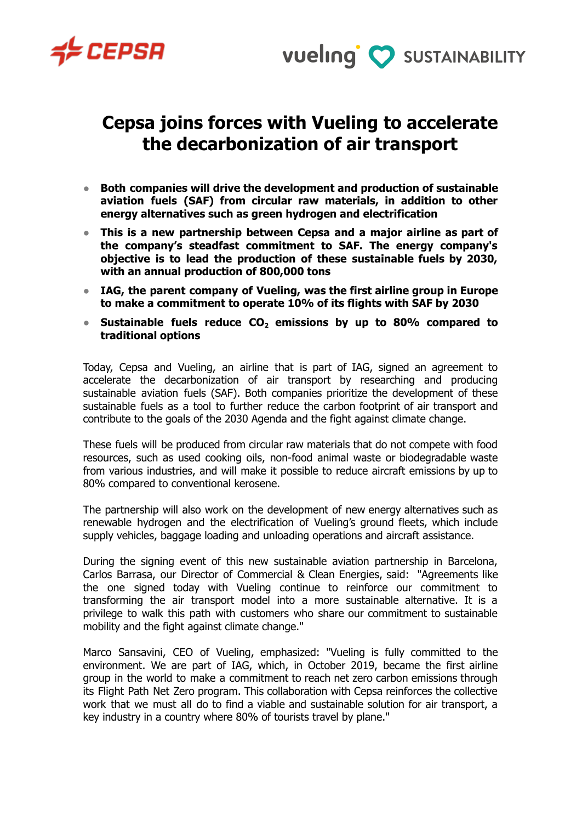



## **Cepsa joins forces with Vueling to accelerate the decarbonization of air transport**

- **● Both companies will drive the development and production of sustainable aviation fuels (SAF) from circular raw materials, in addition to other energy alternatives such as green hydrogen and electrification**
- **● This is a new partnership between Cepsa and a major airline as part of the company's steadfast commitment to SAF. The energy company's objective is to lead the production of these sustainable fuels by 2030, with an annual production of 800,000 tons**
- **● IAG, the parent company of Vueling, was the first airline group in Europe to make a commitment to operate 10% of its flights with SAF by 2030**
- **● Sustainable fuels reduce CO<sup>2</sup> emissions by up to 80% compared to traditional options**

Today, Cepsa and Vueling, an airline that is part of IAG, signed an agreement to accelerate the decarbonization of air transport by researching and producing sustainable aviation fuels (SAF). Both companies prioritize the development of these sustainable fuels as a tool to further reduce the carbon footprint of air transport and contribute to the goals of the 2030 Agenda and the fight against climate change.

These fuels will be produced from circular raw materials that do not compete with food resources, such as used cooking oils, non-food animal waste or biodegradable waste from various industries, and will make it possible to reduce aircraft emissions by up to 80% compared to conventional kerosene.

The partnership will also work on the development of new energy alternatives such as renewable hydrogen and the electrification of Vueling's ground fleets, which include supply vehicles, baggage loading and unloading operations and aircraft assistance.

During the signing event of this new sustainable aviation partnership in Barcelona, Carlos Barrasa, our Director of Commercial & Clean Energies, said: "Agreements like the one signed today with Vueling continue to reinforce our commitment to transforming the air transport model into a more sustainable alternative. It is a privilege to walk this path with customers who share our commitment to sustainable mobility and the fight against climate change."

Marco Sansavini, CEO of Vueling, emphasized: "Vueling is fully committed to the environment. We are part of IAG, which, in October 2019, became the first airline group in the world to make a commitment to reach net zero carbon emissions through its Flight Path Net Zero program. This collaboration with Cepsa reinforces the collective work that we must all do to find a viable and sustainable solution for air transport, a key industry in a country where 80% of tourists travel by plane."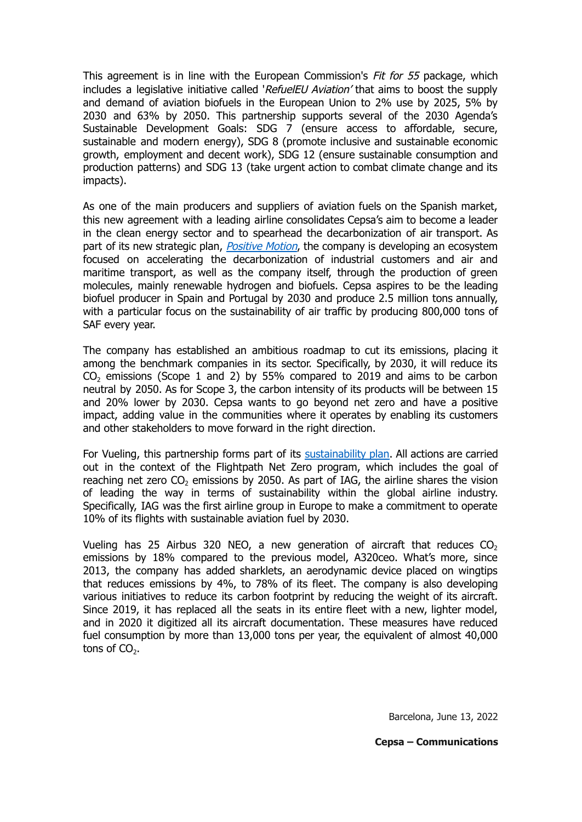This agreement is in line with the European Commission's Fit for 55 package, which includes a legislative initiative called 'RefuelEU Aviation' that aims to boost the supply and demand of aviation biofuels in the European Union to 2% use by 2025, 5% by 2030 and 63% by 2050. This partnership supports several of the 2030 Agenda's Sustainable Development Goals: SDG 7 (ensure access to affordable, secure, sustainable and modern energy), SDG 8 (promote inclusive and sustainable economic growth, employment and decent work), SDG 12 (ensure sustainable consumption and production patterns) and SDG 13 (take urgent action to combat climate change and its impacts).

As one of the main producers and suppliers of aviation fuels on the Spanish market, this new agreement with a leading airline consolidates Cepsa's aim to become a leader in the clean energy sector and to spearhead the decarbonization of air transport. As part of its new strategic plan, *[Positive](https://www.cepsa.com/es/compania/estrategia) Motion*, the company is developing an ecosystem focused on accelerating the decarbonization of industrial customers and air and maritime transport, as well as the company itself, through the production of green molecules, mainly renewable hydrogen and biofuels. Cepsa aspires to be the leading biofuel producer in Spain and Portugal by 2030 and produce 2.5 million tons annually, with a particular focus on the sustainability of air traffic by producing 800,000 tons of SAF every year.

The company has established an ambitious roadmap to cut its emissions, placing it among the benchmark companies in its sector. Specifically, by 2030, it will reduce its  $CO<sub>2</sub>$  emissions (Scope 1 and 2) by 55% compared to 2019 and aims to be carbon neutral by 2050. As for Scope 3, the carbon intensity of its products will be between 15 and 20% lower by 2030. Cepsa wants to go beyond net zero and have a positive impact, adding value in the communities where it operates by enabling its customers and other stakeholders to move forward in the right direction.

For Vueling, this partnership forms part of its [sustainability](https://www.vueling.com/en/corporative/sustainability) plan. All actions are carried out in the context of the Flightpath Net Zero program, which includes the goal of reaching net zero  $CO<sub>2</sub>$  emissions by 2050. As part of IAG, the airline shares the vision of leading the way in terms of sustainability within the global airline industry. Specifically, IAG was the first airline group in Europe to make a commitment to operate 10% of its flights with sustainable aviation fuel by 2030.

Vueling has 25 Airbus 320 NEO, a new generation of aircraft that reduces  $CO<sub>2</sub>$ emissions by 18% compared to the previous model, A320ceo. What's more, since 2013, the company has added sharklets, an aerodynamic device placed on wingtips that reduces emissions by 4%, to 78% of its fleet. The company is also developing various initiatives to reduce its carbon footprint by reducing the weight of its aircraft. Since 2019, it has replaced all the seats in its entire fleet with a new, lighter model, and in 2020 it digitized all its aircraft documentation. These measures have reduced fuel consumption by more than 13,000 tons per year, the equivalent of almost 40,000 tons of  $CO<sub>2</sub>$ .

Barcelona, June 13, 2022